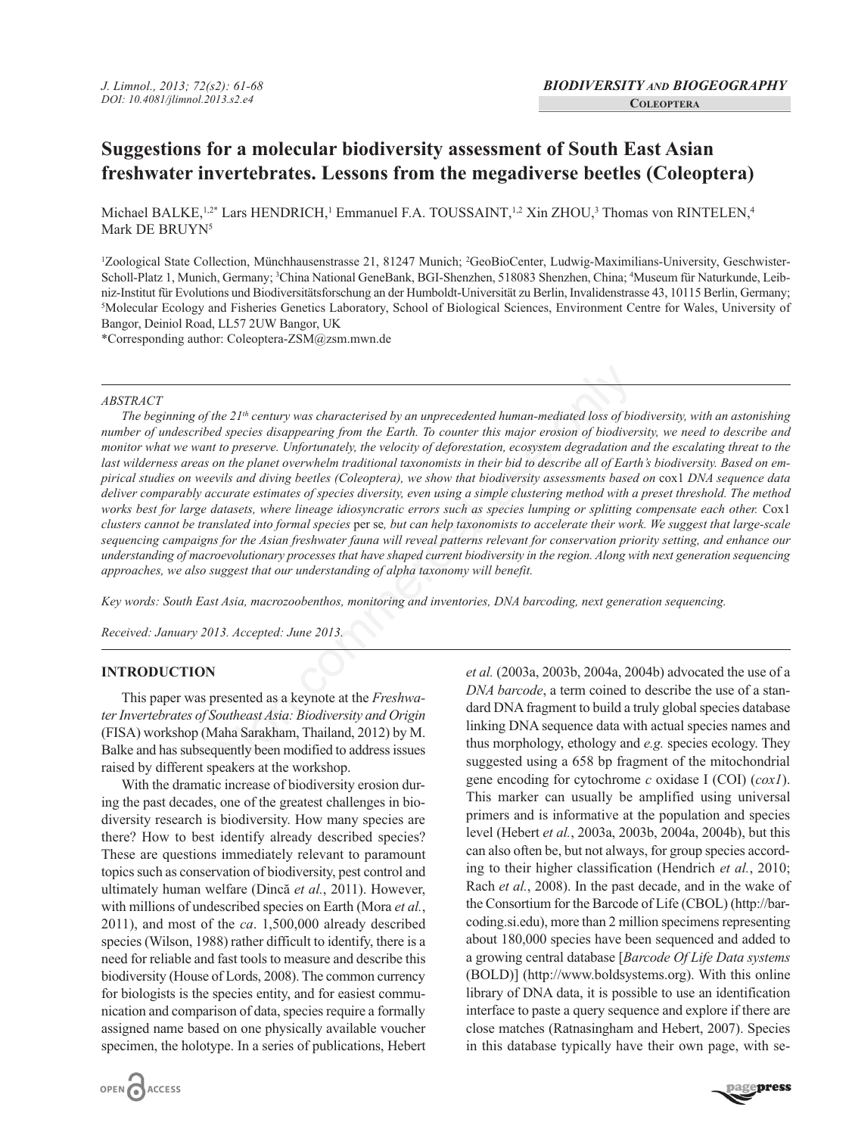# **Suggestions for a molecular biodiversity assessment of South East Asian freshwater invertebrates. Lessons from the megadiverse beetles (Coleoptera)**

Michael BALKE,<sup>1,2\*</sup> Lars HENDRICH,<sup>1</sup> Emmanuel F.A. TOUSSAINT,<sup>1,2</sup> Xin ZHOU,<sup>3</sup> Thomas von RINTELEN,<sup>4</sup> Mark DE BRUYN<sup>5</sup>

<sup>1</sup>Zoological State Collection, Münchhausenstrasse 21, 81247 Munich; <sup>2</sup>GeoBioCenter, Ludwig-Maximilians-University, Geschwister-Scholl-Platz 1, Munich, Germany; <sup>3</sup>China National GeneBank, BGI-Shenzhen, 518083 Shenzhen, China; <sup>4</sup>Museum für Naturkunde, Leibniz-Institut für Evolutions und Biodiversitätsforschung an der Humboldt-universität zu Berlin, Invalidenstrasse 43, 10115 Berlin, Germany; 5 Molecular Ecology and Fisheries Genetics Laboratory, school of Biological sciences, Environment Centre for Wales, university of Bangor, Deiniol Road, LL57 2UW Bangor, UK

\*Corresponding author: Coleoptera-ZsM@zsm.mwn.de

## *ABSTRACT*

*The beginning of the 21th century was characterised by an unprecedented human-mediated loss of biodiversity, with an astonishing number of undescribed species disappearing from the Earth. To counter this major erosion of biodiversity, we need to describe and monitor what we want to preserve. Unfortunately, the velocity of deforestation, ecosystem degradation and the escalating threat to the last wilderness areas on the planet overwhelm traditional taxonomists in their bid to describe all of Earth's biodiversity. Based on empirical studies on weevils and diving beetles (Coleoptera), we show that biodiversity assessments based on* cox1 *DNA sequence data deliver comparably accurate estimates of species diversity, even using a simple clustering method with a preset threshold. The method* works best for large datasets, where lineage idiosyncratic errors such as species lumping or splitting compensate each other. Cox1 *clusters cannot be translated into formal species* per se*, but can help taxonomists to accelerate their work. We suggest that large-scale sequencing campaigns for the Asian freshwater fauna will reveal patterns relevant for conservation priority setting, and enhance our understanding of macroevolutionary processes that have shaped current biodiversity in the region. Along with next generation sequencing approaches, we also suggest that our understanding of alpha taxonomy will benefit.* Non commercial use only

*Key words: South East Asia, macrozoobenthos, monitoring and inventories, DNA barcoding, next generation sequencing.*

*Received: January 2013. Accepted: June 2013.*

# **INTRODUCTION**

This paper was presented as a keynote at the *Freshwater Invertebrates of Southeast Asia: Biodiversity and Origin* (FIsA) workshop (Maha sarakham, Thailand, 2012) by M. Balke and has subsequently been modified to address issues raised by different speakers at the workshop.

With the dramatic increase of biodiversity erosion during the past decades, one of the greatest challenges in biodiversity research is biodiversity. How many species are there? How to best identify already described species? These are questions immediately relevant to paramount topics such as conservation of biodiversity, pest control and ultimately human welfare (Dincă *et al.*, 2011). However, with millions of undescribed species on Earth (Mora *et al.*, 2011), and most of the *ca*. 1,500,000 already described species (Wilson, 1988) rather difficult to identify, there is a need for reliable and fast tools to measure and describe this biodiversity (House of Lords, 2008). The common currency for biologists is the species entity, and for easiest communication and comparison of data, species require a formally assigned name based on one physically available voucher specimen, the holotype. In a series of publications, Hebert

*et al.* (2003a, 2003b, 2004a, 2004b) advocated the use of a *DNA barcode*, a term coined to describe the use of a standard DNA fragment to build a truly global species database linking DNA sequence data with actual species names and thus morphology, ethology and *e.g.* species ecology. They suggested using a 658 bp fragment of the mitochondrial gene encoding for cytochrome *c* oxidase I (CoI) (*cox1*). This marker can usually be amplified using universal primers and is informative at the population and species level (Hebert *et al.*, 2003a, 2003b, 2004a, 2004b), but this can also often be, but not always, for group species according to their higher classification (Hendrich *et al.*, 2010; Rach *et al.*, 2008). In the past decade, and in the wake of the Consortium for the Barcode of Life (CBoL) (http://barcoding.si.edu), more than 2 million specimens representing about 180,000 species have been sequenced and added to a growing central database [*Barcode Of Life Data systems* (BoLD)] (http://www.boldsystems.org). With this online library of DNA data, it is possible to use an identification interface to paste a query sequence and explore if there are close matches (Ratnasingham and Hebert, 2007). species in this database typically have their own page, with se-

agepress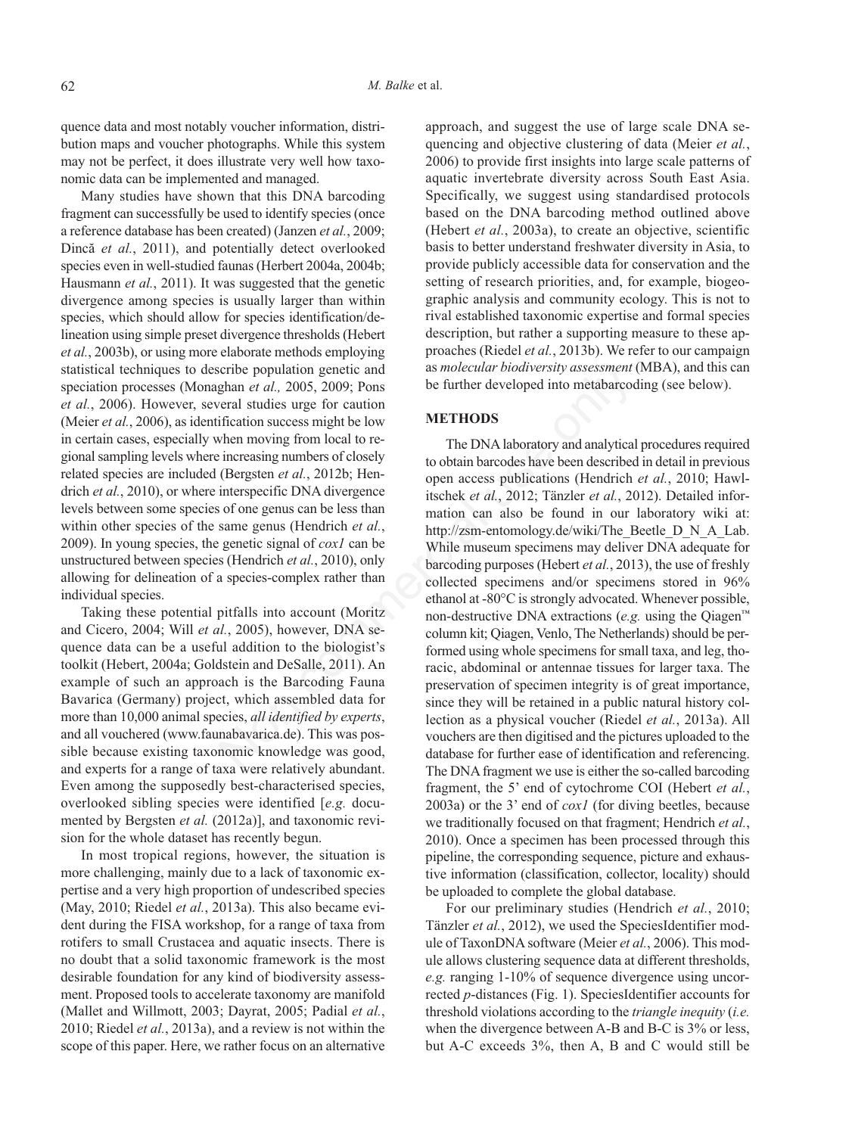quence data and most notably voucher information, distribution maps and voucher photographs. While this system may not be perfect, it does illustrate very well how taxonomic data can be implemented and managed.

Many studies have shown that this DNA barcoding fragment can successfully be used to identify species (once a reference database has been created) (Janzen *et al.*, 2009; Dincă *et al.*, 2011), and potentially detect overlooked species even in well-studied faunas (Herbert 2004a, 2004b; Hausmann *et al.*, 2011). It was suggested that the genetic divergence among species is usually larger than within species, which should allow for species identification/delineation using simple preset divergence thresholds (Hebert *et al.*, 2003b), or using more elaborate methods employing statistical techniques to describe population genetic and speciation processes (Monaghan *et al.,* 2005, 2009; Pons *et al.*, 2006). However, several studies urge for caution (Meier *et al.*, 2006), as identification success might be low in certain cases, especially when moving from local to regional sampling levels where increasing numbers of closely related species are included (Bergsten *et al.*, 2012b; Hendrich *et al.*, 2010), or where interspecific DNA divergence levels between some species of one genus can be less than within other species of the same genus (Hendrich *et al.*, 2009). In young species, the genetic signal of *cox1* can be unstructured between species (Hendrich *et al.*, 2010), only allowing for delineation of a species-complex rather than individual species.

Taking these potential pitfalls into account (Moritz and Cicero, 2004; Will *et al.*, 2005), however, DNA sequence data can be a useful addition to the biologist's toolkit (Hebert, 2004a; Goldstein and Desalle, 2011). An example of such an approach is the Barcoding Fauna Bavarica (Germany) project, which assembled data for more than 10,000 animal species, *all identified by experts*, and all vouchered (www.faunabavarica.de). This was possible because existing taxonomic knowledge was good, and experts for a range of taxa were relatively abundant. Even among the supposedly best-characterised species, overlooked sibling species were identified [*e.g.* documented by Bergsten *et al.* (2012a)], and taxonomic revision for the whole dataset has recently begun.

In most tropical regions, however, the situation is more challenging, mainly due to a lack of taxonomic expertise and a very high proportion of undescribed species (May, 2010; Riedel *et al.*, 2013a). This also became evident during the FIsA workshop, for a range of taxa from rotifers to small Crustacea and aquatic insects. There is no doubt that a solid taxonomic framework is the most desirable foundation for any kind of biodiversity assessment. Proposed tools to accelerate taxonomy are manifold (Mallet and Willmott, 2003; Dayrat, 2005; Padial *et al.*, 2010; Riedel *et al.*, 2013a), and a review is not within the scope of this paper. Here, we rather focus on an alternative

approach, and suggest the use of large scale DNA sequencing and objective clustering of data (Meier *et al.*, 2006) to provide first insights into large scale patterns of aquatic invertebrate diversity across south East Asia. specifically, we suggest using standardised protocols based on the DNA barcoding method outlined above (Hebert *et al.*, 2003a), to create an objective, scientific basis to better understand freshwater diversity in Asia, to provide publicly accessible data for conservation and the setting of research priorities, and, for example, biogeographic analysis and community ecology. This is not to rival established taxonomic expertise and formal species description, but rather a supporting measure to these approaches (Riedel *et al.*, 2013b). We refer to our campaign as *molecular biodiversity assessment* (MBA), and this can be further developed into metabarcoding (see below).

# **METHODS**

The DNA laboratory and analytical procedures required to obtain barcodes have been described in detail in previous open access publications (Hendrich *et al.*, 2010; Hawlitschek *et al.*, 2012; Tänzler *et al.*, 2012). Detailed information can also be found in our laboratory wiki at: http://zsm-entomology.de/wiki/The\_Beetle\_D\_N\_A\_Lab. While museum specimens may deliver DNA adequate for barcoding purposes (Hebert *et al.*, 2013), the use of freshly collected specimens and/or specimens stored in 96% ethanol at -80°C is strongly advocated. Whenever possible, non-destructive DNA extractions (*e.g.* using the Qiagen™ column kit; Qiagen, Venlo, The Netherlands) should be performed using whole specimens for small taxa, and leg, thoracic, abdominal or antennae tissues for larger taxa. The preservation of specimen integrity is of great importance, since they will be retained in a public natural history collection as a physical voucher (Riedel *et al.*, 2013a). All vouchers are then digitised and the pictures uploaded to the database for further ease of identification and referencing. The DNA fragment we use is either the so-called barcoding fragment, the 5' end of cytochrome CoI (Hebert *et al.*, 2003a) or the 3' end of *cox1* (for diving beetles, because we traditionally focused on that fragment; Hendrich *et al.*, 2010). once a specimen has been processed through this pipeline, the corresponding sequence, picture and exhaustive information (classification, collector, locality) should be uploaded to complete the global database. stribe population genetic and<br>
galan *et al.*, 2005, 2009; Pons be further developed into metabarcoc<br>
ereral studies urge for caution<br>
fification success might be low<br>
then moving from local to re-<br>
The DNA laboratory and

> For our preliminary studies (Hendrich *et al.*, 2010; Tänzler et al., 2012), we used the SpeciesIdentifier module of TaxonDNA software (Meier *et al.*, 2006). This module allows clustering sequence data at different thresholds, *e.g.* ranging 1-10% of sequence divergence using uncorrected *p*-distances (Fig. 1). SpeciesIdentifier accounts for threshold violations according to the *triangle inequity* (*i.e.* when the divergence between A-B and B-C is 3% or less, but A-C exceeds 3%, then A, B and C would still be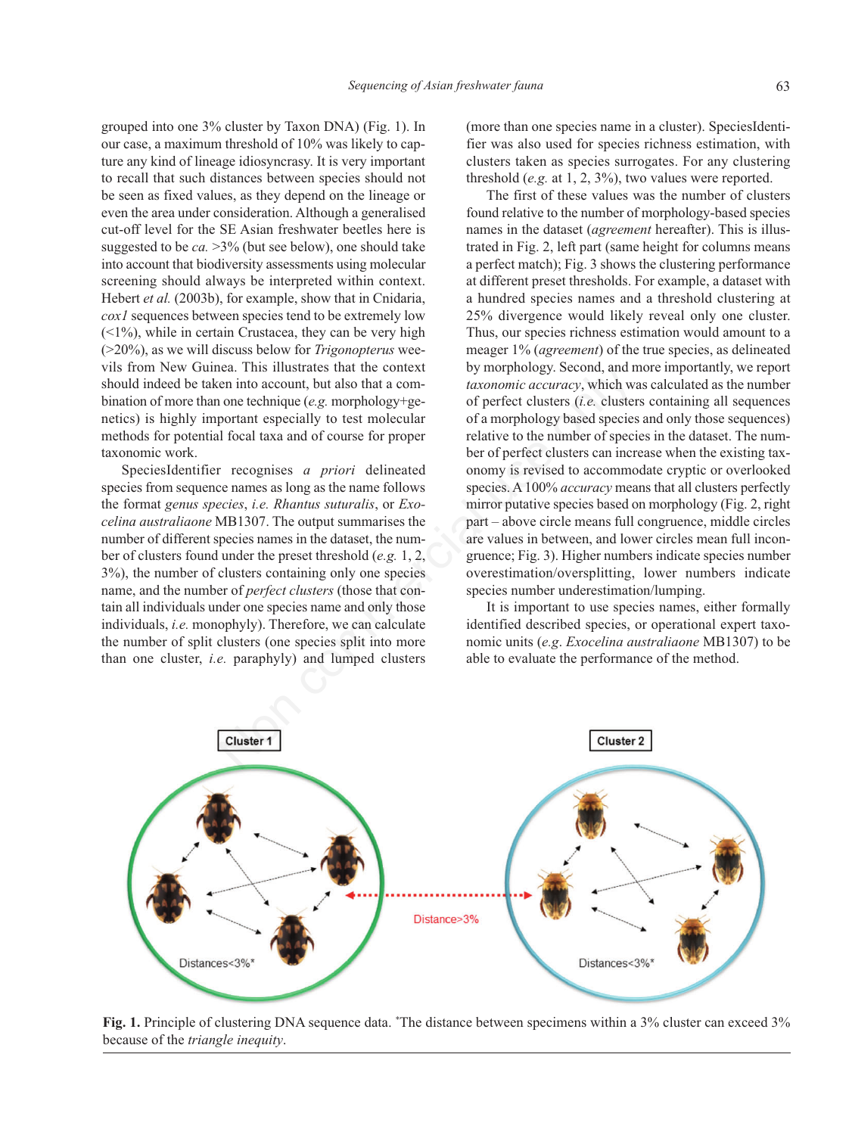grouped into one 3% cluster by Taxon DNA) (Fig. 1). In our case, a maximum threshold of 10% was likely to capture any kind of lineage idiosyncrasy. It is very important to recall that such distances between species should not be seen as fixed values, as they depend on the lineage or even the area under consideration. Although a generalised cut-off level for the sE Asian freshwater beetles here is suggested to be *ca.* >3% (but see below), one should take into account that biodiversity assessments using molecular screening should always be interpreted within context. Hebert *et al.* (2003b), for example, show that in Cnidaria, *cox1* sequences between species tend to be extremely low  $(1\%)$ , while in certain Crustacea, they can be very high (>20%), as we will discuss below for *Trigonopterus* weevils from New Guinea. This illustrates that the context should indeed be taken into account, but also that a combination of more than one technique (*e.g.* morphology+genetics) is highly important especially to test molecular methods for potential focal taxa and of course for proper taxonomic work.

speciesIdentifier recognises *a priori* delineated species from sequence names as long as the name follows the format *genus species*, *i.e. Rhantus suturalis*, or *Exocelina australiaone* MB1307. The output summarises the number of different species names in the dataset, the number of clusters found under the preset threshold (*e.g.* 1, 2, 3%), the number of clusters containing only one species name, and the number of *perfect clusters* (those that contain all individuals under one species name and only those individuals, *i.e.* monophyly). Therefore, we can calculate the number of split clusters (one species split into more than one cluster, *i.e.* paraphyly) and lumped clusters So the context that context to prophology. Second, and the context<br>one into account, but also that a com-<br>on one technique (e.g. morphology+ge-<br>of perfect clusters (*i.e.* cluster<br>portant especially to test molecular<br>of a

(more than one species name in a cluster). SpeciesIdentifier was also used for species richness estimation, with clusters taken as species surrogates. For any clustering threshold (*e.g.* at 1, 2, 3%), two values were reported.

The first of these values was the number of clusters found relative to the number of morphology-based species names in the dataset (*agreement* hereafter). This is illustrated in Fig. 2, left part (same height for columns means a perfect match); Fig. 3 shows the clustering performance at different preset thresholds. For example, a dataset with a hundred species names and a threshold clustering at 25% divergence would likely reveal only one cluster. Thus, our species richness estimation would amount to a meager 1% (*agreement*) of the true species, as delineated by morphology. second, and more importantly, we report *taxonomic accuracy*, which was calculated as the number of perfect clusters (*i.e.* clusters containing all sequences of a morphology based species and only those sequences) relative to the number of species in the dataset. The number of perfect clusters can increase when the existing taxonomy is revised to accommodate cryptic or overlooked species. A 100% *accuracy* means that all clusters perfectly mirror putative species based on morphology (Fig. 2, right part – above circle means full congruence, middle circles are values in between, and lower circles mean full incongruence; Fig. 3). Higher numbers indicate species number overestimation/oversplitting, lower numbers indicate species number underestimation/lumping.

It is important to use species names, either formally identified described species, or operational expert taxonomic units (*e.g*. *Exocelina australiaone* MB1307) to be able to evaluate the performance of the method.



Fig. 1. Principle of clustering DNA sequence data. \*The distance between specimens within a 3% cluster can exceed 3% because of the *triangle inequity*.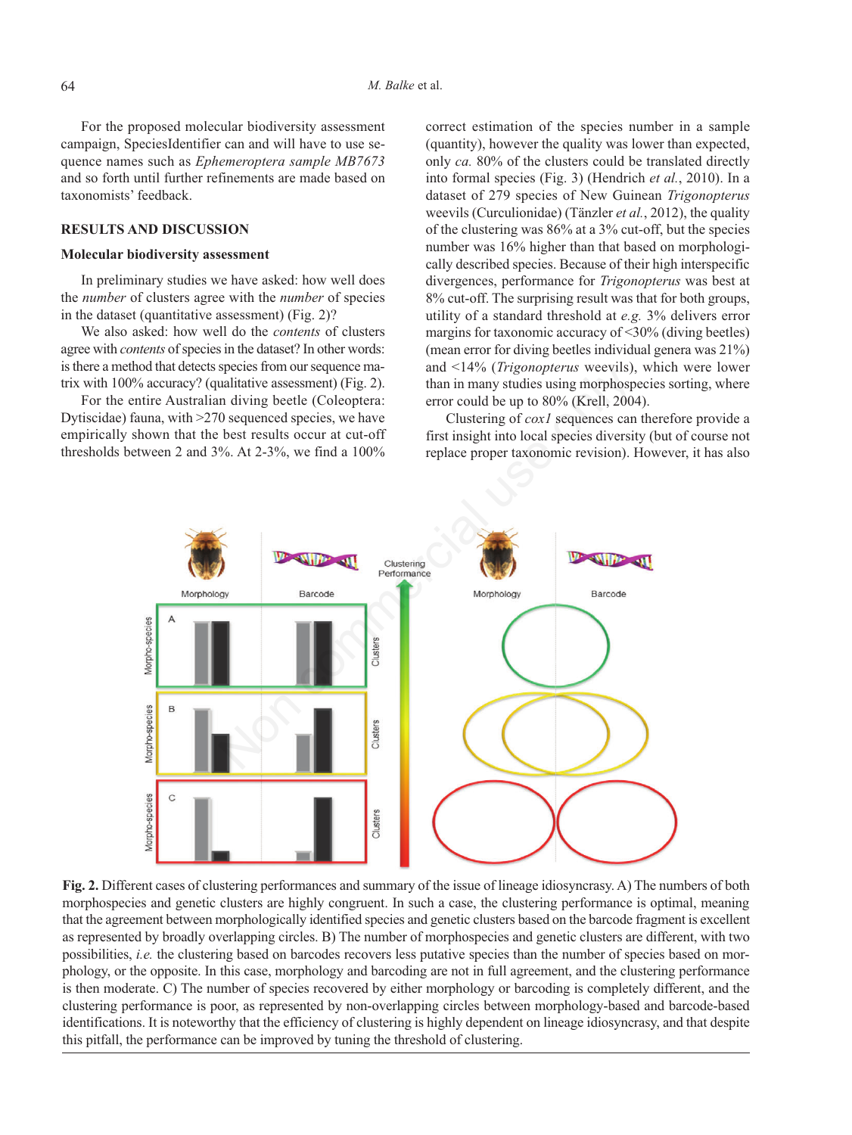For the proposed molecular biodiversity assessment campaign, speciesIdentifier can and will have to use sequence names such as *Ephemeroptera sample MB7673* and so forth until further refinements are made based on taxonomists' feedback.

## **RESULTS AND DISCUSSION**

## **Molecular biodiversity assessment**

In preliminary studies we have asked: how well does the *number* of clusters agree with the *number* of species in the dataset (quantitative assessment) (Fig. 2)?

We also asked: how well do the *contents* of clusters agree with *contents* of species in the dataset? In other words: is there a method that detects species from our sequence matrix with 100% accuracy? (qualitative assessment) (Fig. 2).

For the entire Australian diving beetle (Coleoptera: Dytiscidae) fauna, with >270 sequenced species, we have empirically shown that the best results occur at cut-off thresholds between 2 and 3%. At 2-3%, we find a 100%

correct estimation of the species number in a sample (quantity), however the quality was lower than expected, only *ca.* 80% of the clusters could be translated directly into formal species (Fig. 3) (Hendrich *et al.*, 2010). In a dataset of 279 species of New Guinean *Trigonopterus* weevils (Curculionidae) (Tänzler *et al.*, 2012), the quality of the clustering was 86% at a 3% cut-off, but the species number was 16% higher than that based on morphologically described species. Because of their high interspecific divergences, performance for *Trigonopterus* was best at 8% cut-off. The surprising result was that for both groups, utility of a standard threshold at *e.g.* 3% delivers error margins for taxonomic accuracy of <30% (diving beetles) (mean error for diving beetles individual genera was 21%) and <14% (*Trigonopterus* weevils), which were lower than in many studies using morphospecies sorting, where error could be up to 80% (Krell, 2004).

Clustering of *cox1* sequences can therefore provide a first insight into local species diversity (but of course not replace proper taxonomic revision). However, it has also



**Fig. 2.** Different cases of clustering performances and summary of the issue of lineage idiosyncrasy. A) The numbers of both morphospecies and genetic clusters are highly congruent. In such a case, the clustering performance is optimal, meaning that the agreement between morphologically identified species and genetic clusters based on the barcode fragment is excellent as represented by broadly overlapping circles. B) The number of morphospecies and genetic clusters are different, with two possibilities, *i.e.* the clustering based on barcodes recovers less putative species than the number of species based on morphology, or the opposite. In this case, morphology and barcoding are not in full agreement, and the clustering performance is then moderate. C) The number of species recovered by either morphology or barcoding is completely different, and the clustering performance is poor, as represented by non-overlapping circles between morphology-based and barcode-based identifications. It is noteworthy that the efficiency of clustering is highly dependent on lineage idiosyncrasy, and that despite this pitfall, the performance can be improved by tuning the threshold of clustering.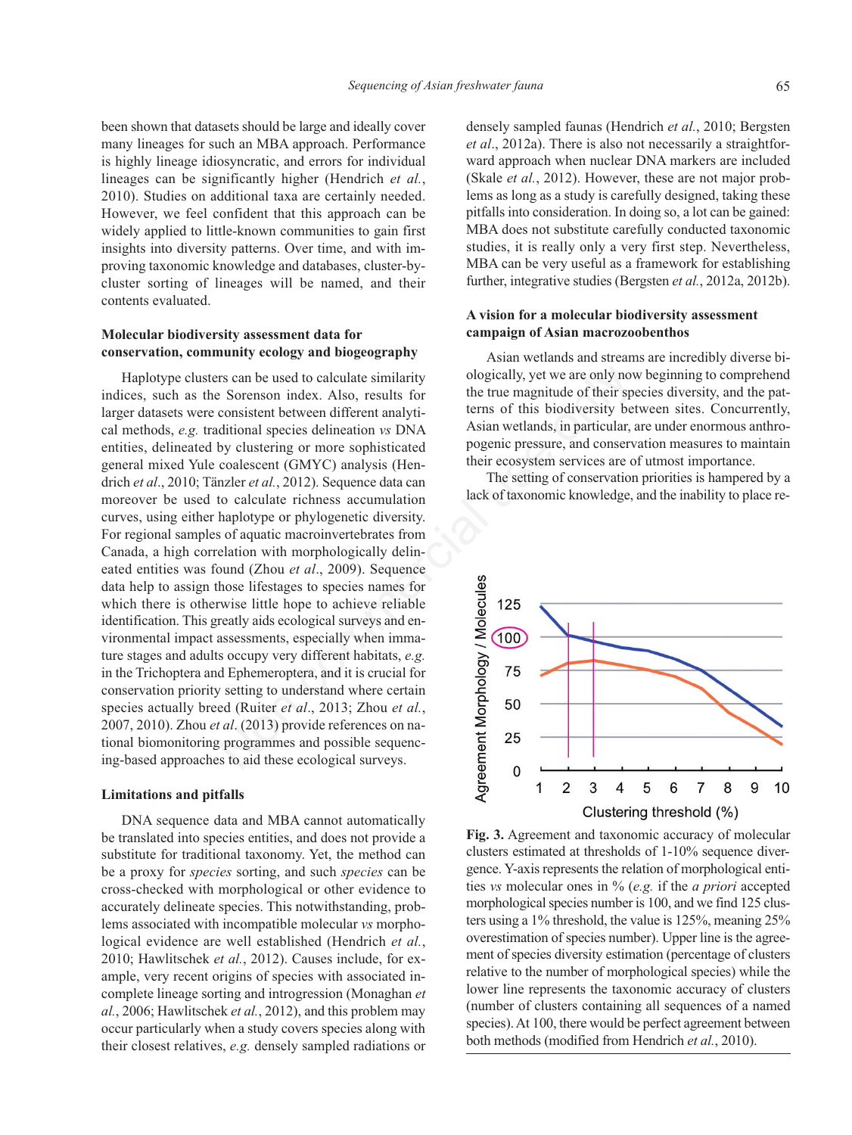been shown that datasets should be large and ideally cover many lineages for such an MBA approach. Performance is highly lineage idiosyncratic, and errors for individual lineages can be significantly higher (Hendrich *et al.*, 2010). studies on additional taxa are certainly needed. However, we feel confident that this approach can be widely applied to little-known communities to gain first insights into diversity patterns. Over time, and with improving taxonomic knowledge and databases, cluster-bycluster sorting of lineages will be named, and their contents evaluated.

# **Molecular biodiversity assessment data for conservation, community ecology and biogeography**

Haplotype clusters can be used to calculate similarity indices, such as the sorenson index. Also, results for larger datasets were consistent between different analytical methods, *e.g.* traditional species delineation *vs* DNA entities, delineated by clustering or more sophisticated general mixed Yule coalescent (GMYC) analysis (Hendrich et al., 2010; Tänzler et al., 2012). Sequence data can moreover be used to calculate richness accumulation curves, using either haplotype or phylogenetic diversity. For regional samples of aquatic macroinvertebrates from Canada, a high correlation with morphologically delineated entities was found (Zhou *et al*., 2009). sequence data help to assign those lifestages to species names for which there is otherwise little hope to achieve reliable identification. This greatly aids ecological surveys and environmental impact assessments, especially when immature stages and adults occupy very different habitats, *e.g.* in the Trichoptera and Ephemeroptera, and it is crucial for conservation priority setting to understand where certain species actually breed (Ruiter *et al*., 2013; Zhou *et al.*, 2007, 2010). Zhou *et al*. (2013) provide references on national biomonitoring programmes and possible sequencing-based approaches to aid these ecological surveys. rs can be used to calculate similarity<br>
ologically, yet we are only not<br>
consistent between different analytical<br>
ditional species delineation w DNA<br>
Asian weltands, in particular,<br>
distinging or more sophisticated<br>
pogen

## **Limitations and pitfalls**

DNA sequence data and MBA cannot automatically be translated into species entities, and does not provide a substitute for traditional taxonomy. Yet, the method can be a proxy for *species* sorting, and such *species* can be cross-checked with morphological or other evidence to accurately delineate species. This notwithstanding, problems associated with incompatible molecular *vs* morphological evidence are well established (Hendrich *et al.*, 2010; Hawlitschek *et al.*, 2012). Causes include, for example, very recent origins of species with associated incomplete lineage sorting and introgression (Monaghan *et al.*, 2006; Hawlitschek *et al.*, 2012), and this problem may occur particularly when a study covers species along with their closest relatives, *e.g.* densely sampled radiations or

densely sampled faunas (Hendrich *et al.*, 2010; Bergsten *et al*., 2012a). There is also not necessarily a straightforward approach when nuclear DNA markers are included (Skale *et al.*, 2012). However, these are not major problems as long as a study is carefully designed, taking these pitfalls into consideration. In doing so, a lot can be gained: MBA does not substitute carefully conducted taxonomic studies, it is really only a very first step. Nevertheless, MBA can be very useful as a framework for establishing further, integrative studies (Bergsten *et al.*, 2012a, 2012b).

# **A vision for a molecular biodiversity assessment campaign of Asian macrozoobenthos**

Asian wetlands and streams are incredibly diverse biologically, yet we are only now beginning to comprehend the true magnitude of their species diversity, and the patterns of this biodiversity between sites. Concurrently, Asian wetlands, in particular, are under enormous anthropogenic pressure, and conservation measures to maintain their ecosystem services are of utmost importance.

The setting of conservation priorities is hampered by a lack of taxonomic knowledge, and the inability to place re-



**Fig. 3.** Agreement and taxonomic accuracy of molecular clusters estimated at thresholds of 1-10% sequence divergence. Y-axis represents the relation of morphological entities *vs* molecular ones in % (*e.g.* if the *a priori* accepted morphological species number is 100, and we find 125 clusters using a 1% threshold, the value is 125%, meaning 25% overestimation of species number). Upper line is the agreement of species diversity estimation (percentage of clusters relative to the number of morphological species) while the lower line represents the taxonomic accuracy of clusters (number of clusters containing all sequences of a named species). At 100, there would be perfect agreement between both methods (modified from Hendrich *et al.*, 2010).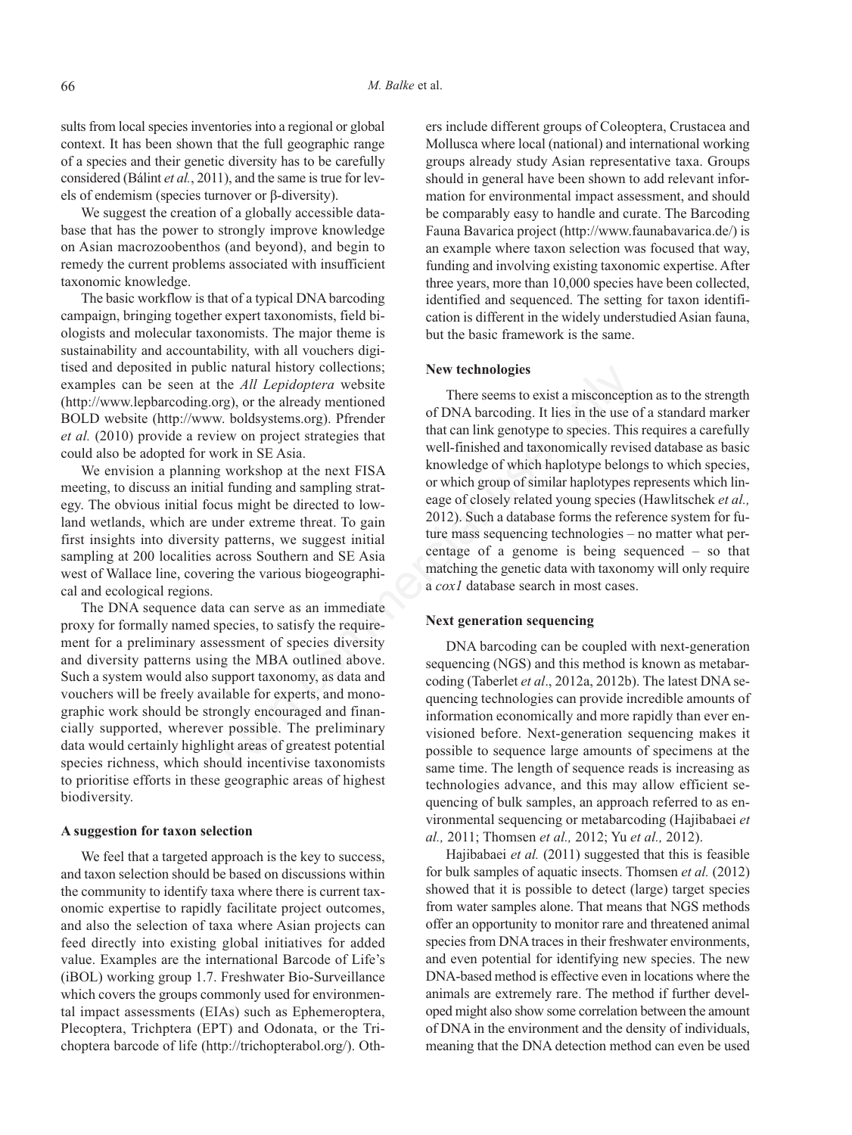sults from local species inventories into a regional or global context. It has been shown that the full geographic range of a species and their genetic diversity has to be carefully considered (Bálint *et al.*, 2011), and the same is true for levels of endemism (species turnover or β-diversity).

We suggest the creation of a globally accessible database that has the power to strongly improve knowledge on Asian macrozoobenthos (and beyond), and begin to remedy the current problems associated with insufficient taxonomic knowledge.

The basic workflow is that of a typical DNA barcoding campaign, bringing together expert taxonomists, field biologists and molecular taxonomists. The major theme is sustainability and accountability, with all vouchers digitised and deposited in public natural history collections; examples can be seen at the *All Lepidoptera* website (http://www.lepbarcoding.org), or the already mentioned BoLD website (http://www. boldsystems.org). Pfrender *et al.* (2010) provide a review on project strategies that could also be adopted for work in sE Asia.

We envision a planning workshop at the next FIsA meeting, to discuss an initial funding and sampling strategy. The obvious initial focus might be directed to lowland wetlands, which are under extreme threat. To gain first insights into diversity patterns, we suggest initial sampling at 200 localities across Southern and SE Asia west of Wallace line, covering the various biogeographical and ecological regions.

The DNA sequence data can serve as an immediate proxy for formally named species, to satisfy the requirement for a preliminary assessment of species diversity and diversity patterns using the MBA outlined above. Such a system would also support taxonomy, as data and vouchers will be freely available for experts, and monographic work should be strongly encouraged and financially supported, wherever possible. The preliminary data would certainly highlight areas of greatest potential species richness, which should incentivise taxonomists to prioritise efforts in these geographic areas of highest biodiversity.

#### **A suggestion for taxon selection**

We feel that a targeted approach is the key to success, and taxon selection should be based on discussions within the community to identify taxa where there is current taxonomic expertise to rapidly facilitate project outcomes, and also the selection of taxa where Asian projects can feed directly into existing global initiatives for added value. Examples are the international Barcode of Life's (iBOL) working group 1.7. Freshwater Bio-Surveillance which covers the groups commonly used for environmental impact assessments (EIAs) such as Ephemeroptera, Plecoptera, Trichptera (EPT) and Odonata, or the Trichoptera barcode of life (http://trichopterabol.org/). others include different groups of Coleoptera, Crustacea and Mollusca where local (national) and international working groups already study Asian representative taxa. Groups should in general have been shown to add relevant information for environmental impact assessment, and should be comparably easy to handle and curate. The Barcoding Fauna Bavarica project (http://www.faunabavarica.de/) is an example where taxon selection was focused that way, funding and involving existing taxonomic expertise. After three years, more than 10,000 species have been collected, identified and sequenced. The setting for taxon identification is different in the widely understudied Asian fauna, but the basic framework is the same.

# **New technologies**

There seems to exist a misconception as to the strength of DNA barcoding. It lies in the use of a standard marker that can link genotype to species. This requires a carefully well-finished and taxonomically revised database as basic knowledge of which haplotype belongs to which species, or which group of similar haplotypes represents which lineage of closely related young species (Hawlitschek *et al.,* 2012). such a database forms the reference system for future mass sequencing technologies – no matter what percentage of a genome is being sequenced – so that matching the genetic data with taxonomy will only require a *cox1* database search in most cases. in a linitery collections;<br>
The *All Lepidoptera* website<br> *The All Lepidoptera* website<br> *The already* mentioned<br> *There seems to exist a misconceptions*<br> *The already* mentioned<br> *There seems to exist a misconceptions*<br>

## **Next generation sequencing**

DNA barcoding can be coupled with next-generation sequencing (NGs) and this method is known as metabarcoding (Taberlet *et al*., 2012a, 2012b). The latest DNA sequencing technologies can provide incredible amounts of information economically and more rapidly than ever envisioned before. Next-generation sequencing makes it possible to sequence large amounts of specimens at the same time. The length of sequence reads is increasing as technologies advance, and this may allow efficient sequencing of bulk samples, an approach referred to as environmental sequencing or metabarcoding (Hajibabaei *et al.,* 2011; Thomsen *et al.,* 2012; Yu *et al.,* 2012).

Hajibabaei *et al.* (2011) suggested that this is feasible for bulk samples of aquatic insects. Thomsen *et al.* (2012) showed that it is possible to detect (large) target species from water samples alone. That means that NGs methods offer an opportunity to monitor rare and threatened animal species from DNA traces in their freshwater environments, and even potential for identifying new species. The new DNA-based method is effective even in locations where the animals are extremely rare. The method if further developed might also show some correlation between the amount of DNA in the environment and the density of individuals, meaning that the DNA detection method can even be used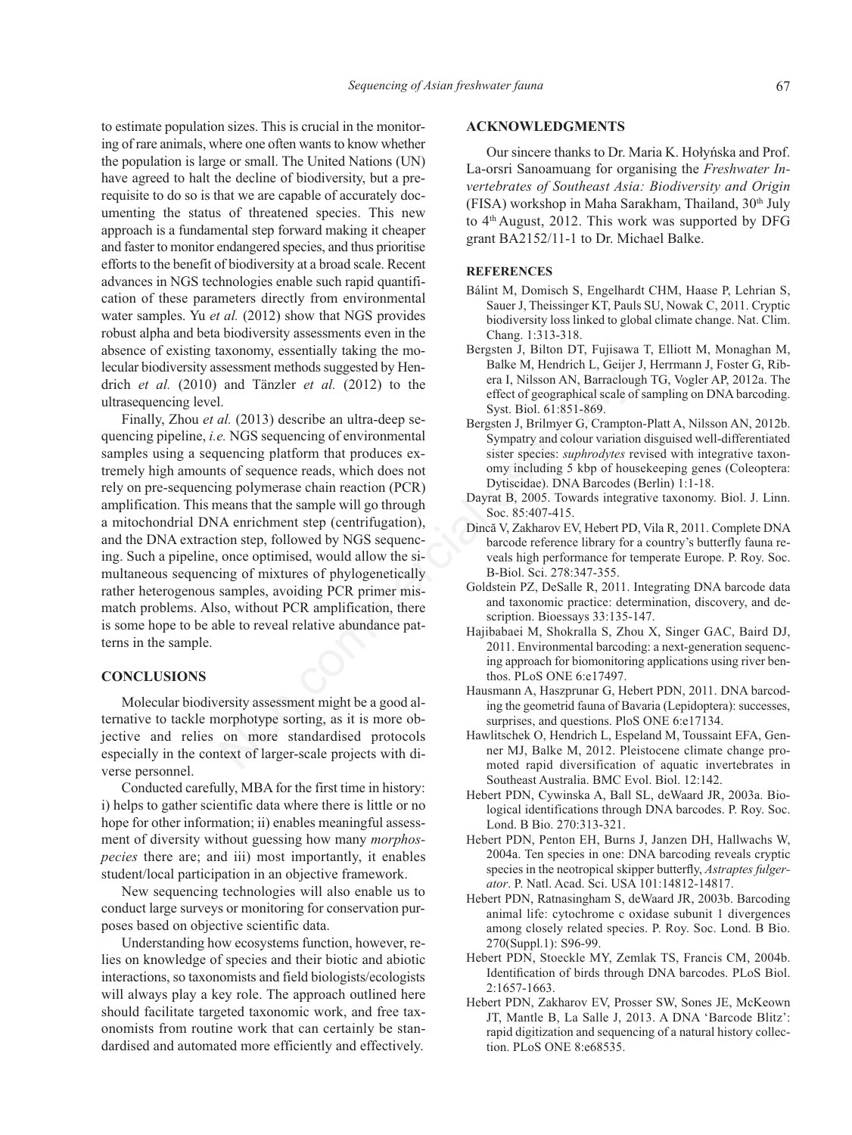to estimate population sizes. This is crucial in the monitoring of rare animals, where one often wants to know whether the population is large or small. The United Nations (UN) have agreed to halt the decline of biodiversity, but a prerequisite to do so is that we are capable of accurately documenting the status of threatened species. This new approach is a fundamental step forward making it cheaper and faster to monitor endangered species, and thus prioritise efforts to the benefit of biodiversity at a broad scale. Recent advances in NGs technologies enable such rapid quantification of these parameters directly from environmental water samples. Yu *et al.* (2012) show that NGS provides robust alpha and beta biodiversity assessments even in the absence of existing taxonomy, essentially taking the molecular biodiversity assessment methods suggested by Hendrich *et al.* (2010) and Tänzler *et al.* (2012) to the ultrasequencing level.

Finally, Zhou *et al.* (2013) describe an ultra-deep sequencing pipeline, *i.e.* NGs sequencing of environmental samples using a sequencing platform that produces extremely high amounts of sequence reads, which does not rely on pre-sequencing polymerase chain reaction (PCR) amplification. This means that the sample will go through a mitochondrial DNA enrichment step (centrifugation), and the DNA extraction step, followed by NGs sequencing. Such a pipeline, once optimised, would allow the simultaneous sequencing of mixtures of phylogenetically rather heterogenous samples, avoiding PCR primer mismatch problems. Also, without PCR amplification, there is some hope to be able to reveal relative abundance patterns in the sample. SEE SIMBONITE THE and Tanzler et al. (2012) to the and Nilsson AN, Barraclout and Tanzler et al. (2013) describe an ultra-deep se-<br>
Lal. (2013) describe an ultra-deep se-<br>
Lect of geographical scale of the effect of geogr

## **CONCLUSIONS**

Molecular biodiversity assessment might be a good alternative to tackle morphotype sorting, as it is more objective and relies on more standardised protocols especially in the context of larger-scale projects with diverse personnel.

Conducted carefully, MBA for the first time in history: i) helps to gather scientific data where there is little or no hope for other information; ii) enables meaningful assessment of diversity without guessing how many *morphospecies* there are; and iii) most importantly, it enables student/local participation in an objective framework.

New sequencing technologies will also enable us to conduct large surveys or monitoring for conservation purposes based on objective scientific data.

Understanding how ecosystems function, however, relies on knowledge of species and their biotic and abiotic interactions, so taxonomists and field biologists/ecologists will always play a key role. The approach outlined here should facilitate targeted taxonomic work, and free taxonomists from routine work that can certainly be standardised and automated more efficiently and effectively.

## **ACKNOWLEDGMENTS**

Our sincere thanks to Dr. Maria K. Hołyńska and Prof. La-orsri sanoamuang for organising the *Freshwater Invertebrates of Southeast Asia: Biodiversity and Origin* (FISA) workshop in Maha Sarakham, Thailand,  $30<sup>th</sup>$  July to 4<sup>th</sup> August, 2012. This work was supported by DFG grant BA2152/11-1 to Dr. Michael Balke.

## **REFERENCES**

- Bálint M, Domisch s, Engelhardt CHM, Haase P, Lehrian s, Sauer J, Theissinger KT, Pauls SU, Nowak C, 2011. Cryptic biodiversity loss linked to global climate change. Nat. Clim. Chang. 1:313-318.
- Bergsten J, Bilton DT, Fujisawa T, Elliott M, Monaghan M, Balke M, Hendrich L, Geijer J, Herrmann J, Foster G, Ribera I, Nilsson AN, Barraclough TG, Vogler AP, 2012a. The effect of geographical scale of sampling on DNA barcoding. syst. Biol. 61:851-869.
- Bergsten J, Brilmyer G, Crampton-Platt A, Nilsson AN, 2012b. sympatry and colour variation disguised well-differentiated sister species: *suphrodytes* revised with integrative taxonomy including 5 kbp of housekeeping genes (Coleoptera: Dytiscidae). DNA Barcodes (Berlin) 1:1-18.
- Dayrat B, 2005. Towards integrative taxonomy. Biol. J. Linn. soc. 85:407-415.
- Dincă V, Zakharov EV, Hebert PD, Vila R, 2011. Complete DNA barcode reference library for a country's butterfly fauna reveals high performance for temperate Europe. P. Roy. soc. B-Biol. sci. 278:347-355.
- Goldstein PZ, Desalle R, 2011. Integrating DNA barcode data and taxonomic practice: determination, discovery, and description. Bioessays 33:135-147.
- Hajibabaei M, shokralla s, Zhou X, singer GAC, Baird DJ, 2011. Environmental barcoding: a next-generation sequencing approach for biomonitoring applications using river benthos. PLos oNE 6:e17497.
- Hausmann A, Haszprunar G, Hebert PDN, 2011. DNA barcoding the geometrid fauna of Bavaria (Lepidoptera): successes, surprises, and questions. PloS ONE 6:e17134.
- Hawlitschek o, Hendrich L, Espeland M, Toussaint EFA, Genner MJ, Balke M, 2012. Pleistocene climate change promoted rapid diversification of aquatic invertebrates in southeast Australia. BMC Evol. Biol. 12:142.
- Hebert PDN, Cywinska A, Ball sL, deWaard JR, 2003a. Biological identifications through DNA barcodes. P. Roy. Soc. Lond. B Bio. 270:313-321.
- Hebert PDN, Penton EH, Burns J, Janzen DH, Hallwachs W, 2004a. Ten species in one: DNA barcoding reveals cryptic species in the neotropical skipper butterfly, *Astraptes fulgerator*. P. Natl. Acad. sci. usA 101:14812-14817.
- Hebert PDN, Ratnasingham S, deWaard JR, 2003b. Barcoding animal life: cytochrome c oxidase subunit 1 divergences among closely related species. P. Roy. soc. Lond. B Bio. 270(suppl.1): s96-99.
- Hebert PDN, stoeckle MY, Zemlak Ts, Francis CM, 2004b. Identification of birds through DNA barcodes. PLos Biol. 2:1657-1663.
- Hebert PDN, Zakharov EV, Prosser sW, sones JE, McKeown JT, Mantle B, La salle J, 2013. A DNA 'Barcode Blitz': rapid digitization and sequencing of a natural history collection. PLos oNE 8:e68535.